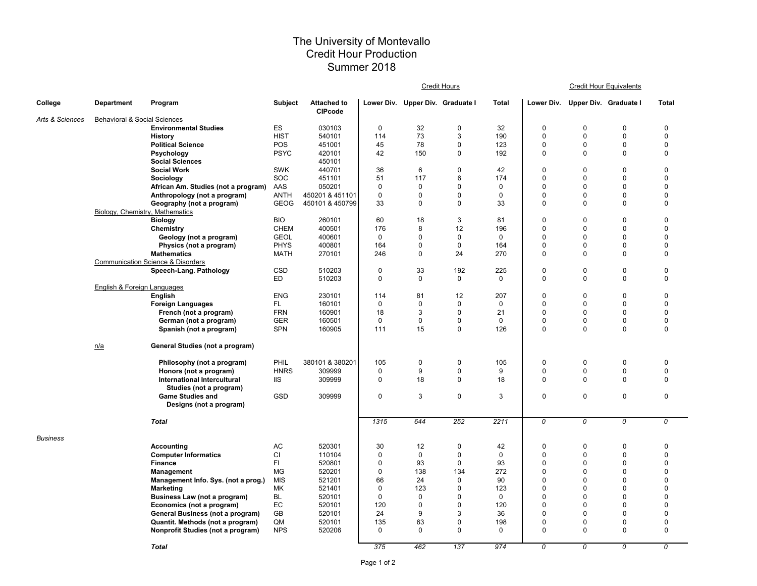## The University of Montevallo Credit Hour Production Summer 2018

|                 |                                         |                                                                      |                  |                                      |             |                                  | Credit Hours |              | <b>Credit Hour Equivalents</b> |                                  |             |              |  |
|-----------------|-----------------------------------------|----------------------------------------------------------------------|------------------|--------------------------------------|-------------|----------------------------------|--------------|--------------|--------------------------------|----------------------------------|-------------|--------------|--|
| College         | <b>Department</b>                       | Program                                                              | <b>Subject</b>   | <b>Attached to</b><br><b>CIPcode</b> |             | Lower Div. Upper Div. Graduate I |              | <b>Total</b> |                                | Lower Div. Upper Div. Graduate I |             | <b>Total</b> |  |
| Arts & Sciences | <b>Behavioral &amp; Social Sciences</b> |                                                                      |                  |                                      |             |                                  |              |              |                                |                                  |             |              |  |
|                 |                                         | <b>Environmental Studies</b>                                         | ES               | 030103                               | $\mathbf 0$ | 32                               | $\mathbf 0$  | 32           | $\Omega$                       | $\Omega$                         | $\mathbf 0$ | $\mathbf 0$  |  |
|                 |                                         | <b>History</b>                                                       | <b>HIST</b>      | 540101                               | 114         | 73                               | 3            | 190          | $\Omega$                       | $\Omega$                         | $\mathbf 0$ | $\mathbf 0$  |  |
|                 |                                         | <b>Political Science</b>                                             | POS              | 451001                               | 45          | 78                               | $\pmb{0}$    | 123          | $\mathbf 0$                    | $\Omega$                         | $\pmb{0}$   | $\mathbf 0$  |  |
|                 |                                         | Psychology                                                           | <b>PSYC</b>      | 420101                               | 42          | 150                              | 0            | 192          | $\mathbf 0$                    | 0                                | $\mathbf 0$ | $\mathbf 0$  |  |
|                 |                                         | <b>Social Sciences</b>                                               |                  | 450101                               |             |                                  |              |              |                                |                                  |             |              |  |
|                 |                                         | <b>Social Work</b>                                                   | <b>SWK</b>       | 440701                               | 36          | 6                                | $\mathbf 0$  | 42           | $\mathbf 0$                    | $\mathbf 0$                      | $\Omega$    | $\mathbf 0$  |  |
|                 |                                         | Sociology                                                            | SOC              | 451101                               | 51          | 117                              | 6            | 174          | $\mathbf 0$                    | $\Omega$                         | $\Omega$    | $\mathbf 0$  |  |
|                 |                                         | African Am. Studies (not a program)                                  | AAS              | 050201                               | $\Omega$    | $\mathbf 0$                      | $\mathbf 0$  | $\mathbf 0$  | $\Omega$                       | $\Omega$                         | $\Omega$    | $\mathbf 0$  |  |
|                 |                                         | Anthropology (not a program)                                         | <b>ANTH</b>      | 450201 & 451101                      | $\mathbf 0$ | $\mathbf 0$                      | 0            | $\mathbf 0$  | $\mathbf 0$                    | $\Omega$                         | $\mathbf 0$ | $\mathbf 0$  |  |
|                 |                                         | Geography (not a program)                                            | <b>GEOG</b>      | 450101 & 450799                      | 33          | $\mathbf 0$                      | $\mathbf 0$  | 33           | $\mathbf 0$                    | $\Omega$                         | $\mathbf 0$ | $\mathbf 0$  |  |
|                 | Biology, Chemistry, Mathematics         |                                                                      |                  |                                      |             |                                  |              |              |                                |                                  |             |              |  |
|                 |                                         | <b>Biology</b>                                                       | <b>BIO</b>       | 260101                               | 60          | 18                               | 3            | 81           | $\Omega$                       | $\mathbf 0$                      | $\Omega$    | $\mathbf 0$  |  |
|                 |                                         | Chemistry                                                            | <b>CHEM</b>      | 400501                               | 176         | 8                                | 12           | 196          | $\Omega$                       | $\Omega$                         | $\Omega$    | $\mathbf 0$  |  |
|                 |                                         | Geology (not a program)                                              | <b>GEOL</b>      | 400601                               | $\mathbf 0$ | $\Omega$                         | $\mathbf 0$  | $\Omega$     | $\Omega$                       | $\Omega$                         | $\Omega$    | $\Omega$     |  |
|                 |                                         | Physics (not a program)                                              | <b>PHYS</b>      | 400801                               | 164         | $\mathbf 0$                      | $\mathbf 0$  | 164          | $\mathbf 0$                    | $\Omega$                         | $\mathbf 0$ | $\mathbf 0$  |  |
|                 |                                         | <b>Mathematics</b>                                                   | MATH             | 270101                               | 246         | $\mathbf 0$                      | 24           | 270          | $\mathbf 0$                    | $\Omega$                         | $\mathbf 0$ | $\mathbf 0$  |  |
|                 |                                         | <b>Communication Science &amp; Disorders</b>                         |                  |                                      |             |                                  |              |              |                                |                                  |             |              |  |
|                 |                                         | Speech-Lang. Pathology                                               | CSD              | 510203                               | $\pmb{0}$   | 33                               | 192          | 225          | $\Omega$                       | $\mathbf 0$                      | $\mathbf 0$ | $\mathbf 0$  |  |
|                 |                                         |                                                                      | ED               | 510203                               | $\Omega$    | $\Omega$                         | 0            | $\Omega$     | 0                              | $\Omega$                         | $\Omega$    | $\mathbf 0$  |  |
|                 | <b>English &amp; Foreign Languages</b>  |                                                                      |                  |                                      |             |                                  |              |              |                                |                                  |             |              |  |
|                 |                                         | English                                                              | <b>ENG</b>       | 230101                               | 114         | 81                               | 12           | 207          | $\Omega$                       | $\Omega$                         | $\Omega$    | $\mathbf 0$  |  |
|                 |                                         | <b>Foreign Languages</b>                                             | FL.              | 160101                               | $\mathbf 0$ | $\mathbf 0$                      | 0            | 0            | $\mathbf 0$                    | $\Omega$                         | $\mathbf 0$ | $\mathbf 0$  |  |
|                 |                                         | French (not a program)                                               | <b>FRN</b>       | 160901                               | 18          | 3                                | $\mathbf 0$  | 21           | $\Omega$                       | $\Omega$                         | $\mathbf 0$ | $\mathbf 0$  |  |
|                 |                                         | German (not a program)                                               | <b>GER</b>       | 160501                               | $\mathbf 0$ | 0                                | 0            | $\mathbf 0$  | $\mathbf 0$                    | 0                                | $\mathbf 0$ | $\mathbf 0$  |  |
|                 |                                         | Spanish (not a program)                                              | <b>SPN</b>       | 160905                               | 111         | 15                               | $\pmb{0}$    | 126          | $\mathbf 0$                    | $\Omega$                         | $\mathbf 0$ | $\mathbf 0$  |  |
|                 | n/a                                     | General Studies (not a program)                                      |                  |                                      |             |                                  |              |              |                                |                                  |             |              |  |
|                 |                                         | Philosophy (not a program)                                           | PHIL             | 380101 & 380201                      | 105         | 0                                | $\pmb{0}$    | 105          | 0                              | $\mathbf 0$                      | $\mathbf 0$ | $\mathbf 0$  |  |
|                 |                                         | Honors (not a program)                                               | <b>HNRS</b>      | 309999                               | 0           | 9                                | 0            | 9            | 0                              | 0                                | 0           | $\mathbf 0$  |  |
|                 |                                         | International Intercultural                                          | <b>IIS</b>       | 309999                               | $\mathbf 0$ | 18                               | 0            | 18           | $\mathbf 0$                    | $\Omega$                         | $\mathbf 0$ | $\mathbf 0$  |  |
|                 |                                         | Studies (not a program)                                              |                  |                                      |             |                                  |              |              |                                |                                  |             |              |  |
|                 |                                         | <b>Game Studies and</b>                                              | GSD              | 309999                               | $\pmb{0}$   | 3                                | $\pmb{0}$    | 3            | $\mathbf 0$                    | $\pmb{0}$                        | $\pmb{0}$   | $\mathbf 0$  |  |
|                 |                                         | Designs (not a program)                                              |                  |                                      |             |                                  |              |              |                                |                                  |             |              |  |
|                 |                                         | <b>Total</b>                                                         |                  |                                      | 1315        | 644                              | 252          | 2211         | 0                              | 0                                | 0           | 0            |  |
|                 |                                         |                                                                      |                  |                                      |             |                                  |              |              |                                |                                  |             |              |  |
| Business        |                                         |                                                                      | AC               | 520301                               | 30          | 12                               | $\pmb{0}$    | 42           | $\mathbf 0$                    | $\mathbf 0$                      | $\pmb{0}$   | $\mathbf 0$  |  |
|                 |                                         | Accounting                                                           | CI               |                                      | $\mathbf 0$ | $\mathbf 0$                      | $\mathbf 0$  | $\mathbf 0$  | $\mathbf 0$                    | $\Omega$                         | $\mathbf 0$ | $\mathbf 0$  |  |
|                 |                                         | <b>Computer Informatics</b><br><b>Finance</b>                        | FI               | 110104<br>520801                     | 0           | 93                               | 0            | 93           | 0                              | $\Omega$                         | $\Omega$    | $\mathbf 0$  |  |
|                 |                                         |                                                                      | <b>MG</b>        | 520201                               | $\mathbf 0$ | 138                              | 134          | 272          | $\mathbf 0$                    | $\Omega$                         | $\mathbf 0$ | $\mathbf 0$  |  |
|                 |                                         | Management                                                           |                  |                                      | 66          |                                  | $\mathbf 0$  | 90           | $\Omega$                       | $\Omega$                         | $\Omega$    | $\mathbf 0$  |  |
|                 |                                         | Management Info. Sys. (not a prog.)<br><b>Marketing</b>              | <b>MIS</b><br>МK | 521201<br>521401                     | $\mathbf 0$ | 24<br>123                        | $\mathbf 0$  | 123          | $\Omega$                       | $\Omega$                         | $\mathbf 0$ | $\mathbf 0$  |  |
|                 |                                         |                                                                      | BL               | 520101                               | $\Omega$    | $\mathbf 0$                      | $\mathbf 0$  | $\mathbf 0$  | $\Omega$                       | $\Omega$                         | $\Omega$    | $\mathbf 0$  |  |
|                 |                                         | Business Law (not a program)                                         | EC               | 520101                               | 120         | $\mathbf 0$                      | $\mathbf 0$  | 120          | $\Omega$                       | $\Omega$                         | $\Omega$    | $\mathbf 0$  |  |
|                 |                                         | Economics (not a program)                                            | GB               | 520101                               | 24          | 9                                | 3            | 36           | $\mathbf 0$                    | $\Omega$                         | $\mathbf 0$ | $\mathbf 0$  |  |
|                 |                                         | General Business (not a program)<br>Quantit. Methods (not a program) | QM               | 520101                               | 135         | 63                               | 0            | 198          | 0                              | $\mathbf 0$                      | 0           | $\pmb{0}$    |  |
|                 |                                         | Nonprofit Studies (not a program)                                    | <b>NPS</b>       | 520206                               | $\Omega$    | $\mathbf 0$                      | $\mathbf 0$  | $\Omega$     | $\mathbf 0$                    | $\Omega$                         | $\Omega$    | $\mathbf 0$  |  |
|                 |                                         |                                                                      |                  |                                      |             |                                  |              |              |                                |                                  |             |              |  |
|                 |                                         | <b>Total</b>                                                         |                  |                                      | 375         | 462                              | 137          | 974          | 0                              | 0                                | 0           | 0            |  |